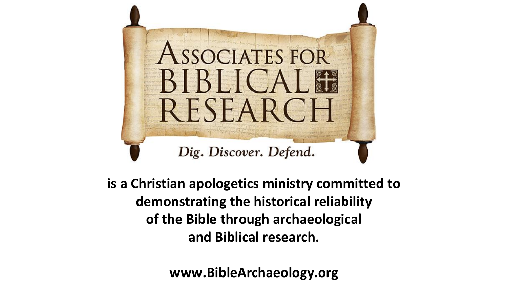

**is a Christian apologetics ministry committed to demonstrating the historical reliability of the Bible through archaeological and Biblical research.**

**www.BibleArchaeology.org**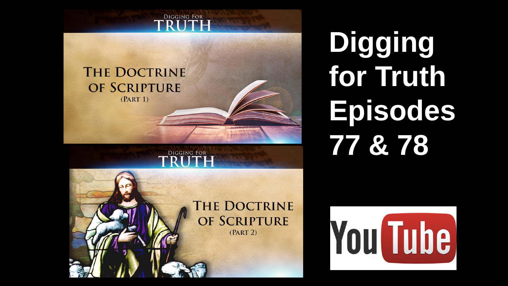

#### **THE DOCTRINE** OF SCRIPTURE  $(PART 1)$

#### **Digging for Truth Episodes 77 & 78**



**DIGGING FOR** 

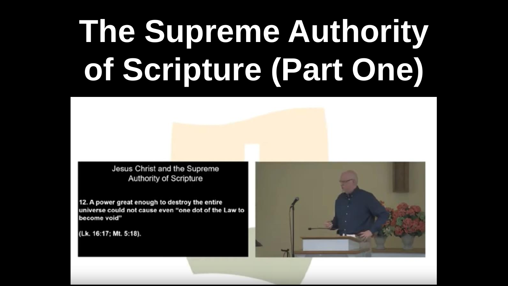Jesus Christ and the Supreme **Authority of Scripture** 

12. A power great enough to destroy the entire universe could not cause even "one dot of the Law to become void"

(Lk. 16:17; Mt. 5:18).

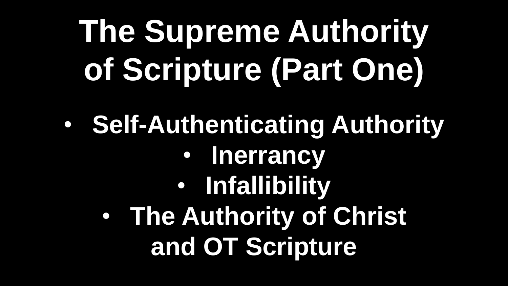• **Self-Authenticating Authority** • **Inerrancy** • **Infallibility** • **The Authority of Christ and OT Scripture**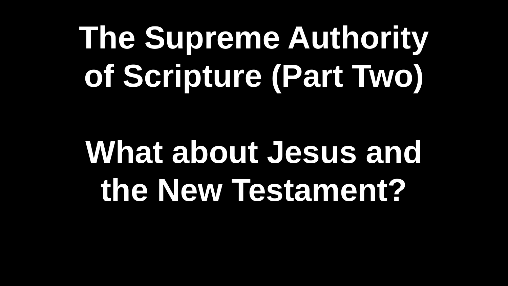## **What about Jesus and the New Testament?**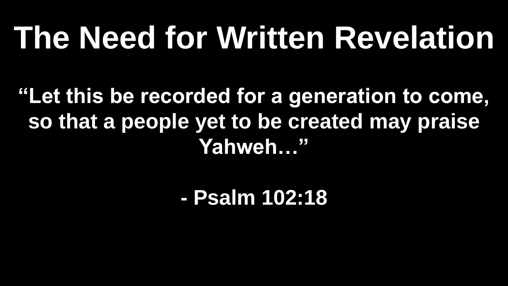**"Let this be recorded for a generation to come, so that a people yet to be created may praise Yahweh…"**

**- Psalm 102:18**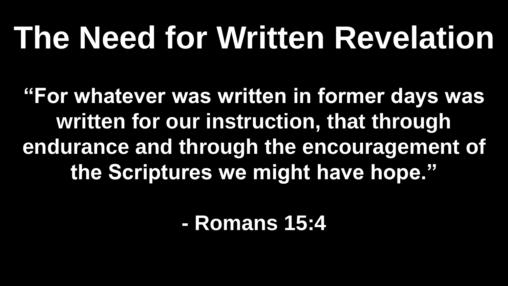**"For whatever was written in former days was written for our instruction, that through endurance and through the encouragement of the Scriptures we might have hope."**

**- Romans 15:4**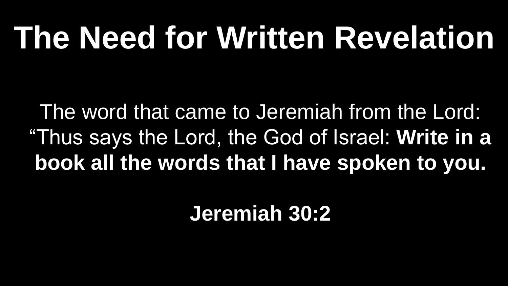The word that came to Jeremiah from the Lord: "Thus says the Lord, the God of Israel: **Write in a book all the words that I have spoken to you.**

**Jeremiah 30:2**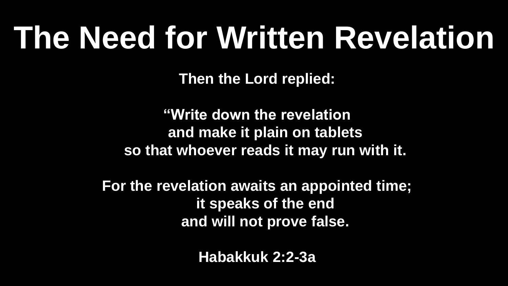**Then the Lord replied:**

**"Write down the revelation and make it plain on tablets so that whoever reads it may run with it.**

**For the revelation awaits an appointed time; it speaks of the end and will not prove false.** 

**Habakkuk 2:2-3a**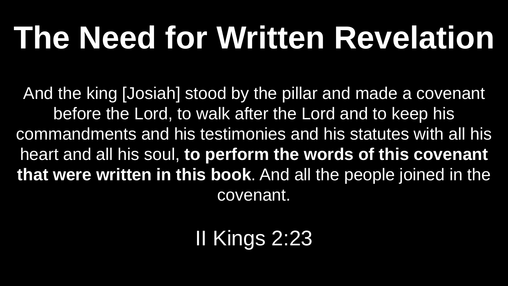And the king [Josiah] stood by the pillar and made a covenant before the Lord, to walk after the Lord and to keep his commandments and his testimonies and his statutes with all his heart and all his soul, **to perform the words of this covenant that were written in this book**. And all the people joined in the covenant.

II Kings 2:23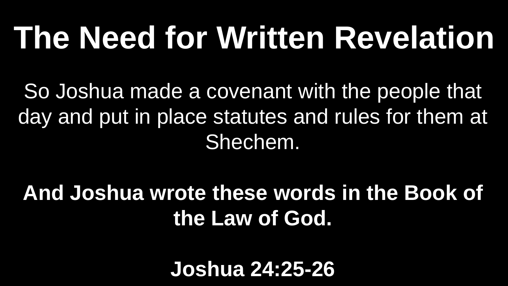So Joshua made a covenant with the people that day and put in place statutes and rules for them at Shechem.

#### **And Joshua wrote these words in the Book of the Law of God.**

**Joshua 24:25-26**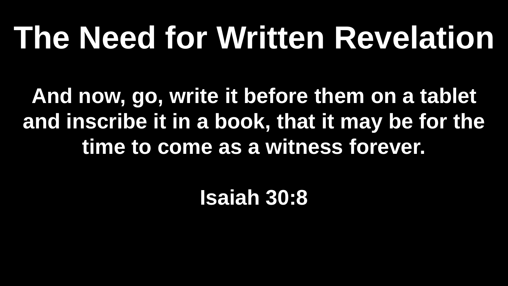**And now, go, write it before them on a tablet and inscribe it in a book, that it may be for the time to come as a witness forever.**

**Isaiah 30:8**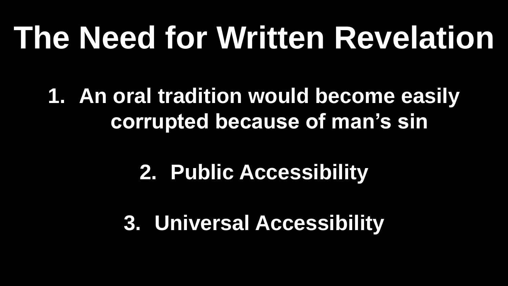**1. An oral tradition would become easily corrupted because of man's sin**

#### **2. Public Accessibility**

**3. Universal Accessibility**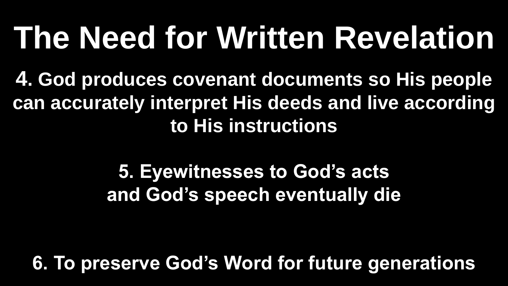**4. God produces covenant documents so His people can accurately interpret His deeds and live according to His instructions** 

> **5. Eyewitnesses to God's acts and God's speech eventually die**

**6. To preserve God's Word for future generations**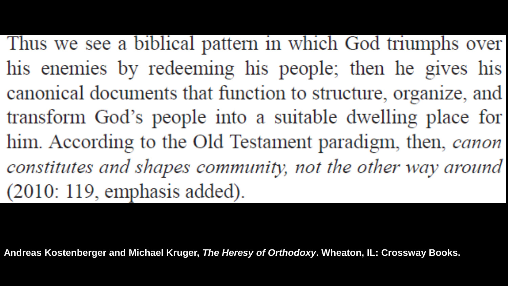Thus we see a biblical pattern in which God triumphs over his enemies by redeeming his people; then he gives his canonical documents that function to structure, organize, and transform God's people into a suitable dwelling place for him. According to the Old Testament paradigm, then, canon constitutes and shapes community, not the other way around  $(2010: 119,$  emphasis added).

**Andreas Kostenberger and Michael Kruger,** *The Heresy of Orthodoxy***. Wheaton, IL: Crossway Books.**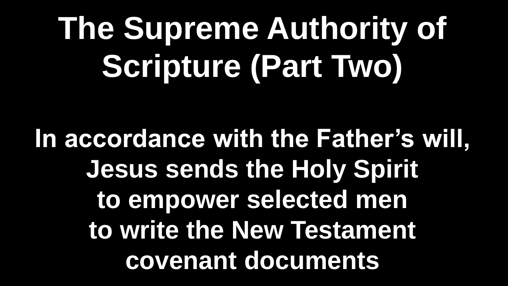**In accordance with the Father's will, Jesus sends the Holy Spirit to empower selected men to write the New Testament covenant documents**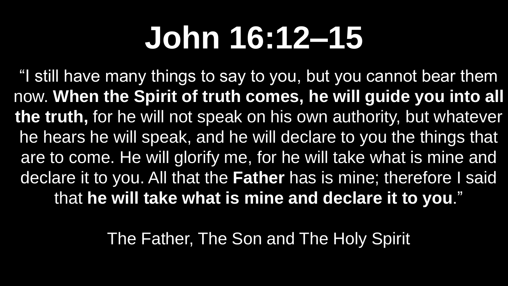### **John 16:12–15**

"I still have many things to say to you, but you cannot bear them now. **When the Spirit of truth comes, he will guide you into all the truth,** for he will not speak on his own authority, but whatever he hears he will speak, and he will declare to you the things that are to come. He will glorify me, for he will take what is mine and declare it to you. All that the **Father** has is mine; therefore I said that **he will take what is mine and declare it to you**."

The Father, The Son and The Holy Spirit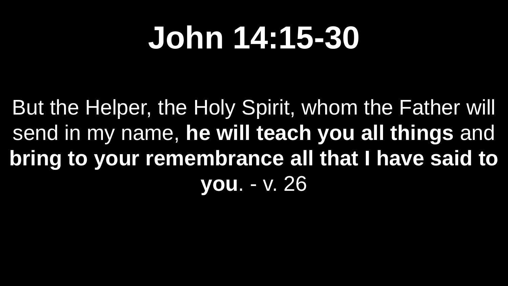#### **John 14:15-30**

But the Helper, the Holy Spirit, whom the Father will send in my name, **he will teach you all things** and **bring to your remembrance all that I have said to you**. - v. 26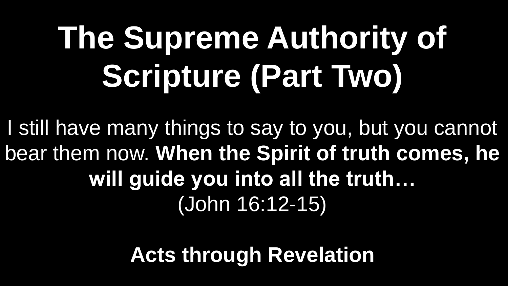I still have many things to say to you, but you cannot bear them now. **When the Spirit of truth comes, he will guide you into all the truth…**  (John 16:12-15)

**Acts through Revelation**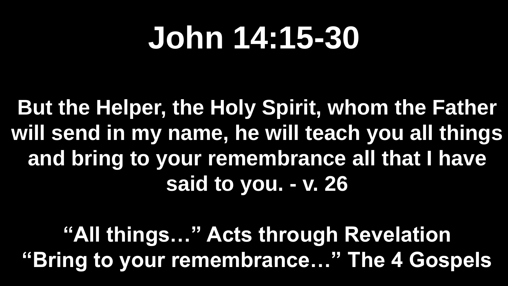#### **John 14:15-30**

**But the Helper, the Holy Spirit, whom the Father will send in my name, he will teach you all things and bring to your remembrance all that I have said to you. - v. 26**

**"All things…" Acts through Revelation "Bring to your remembrance…" The 4 Gospels**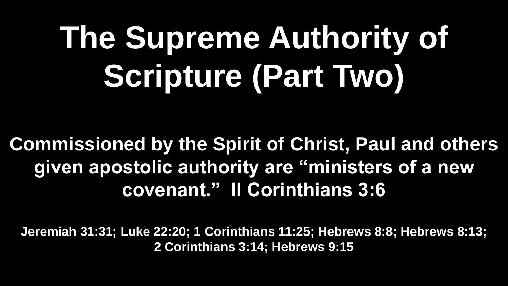**Commissioned by the Spirit of Christ, Paul and others given apostolic authority are "ministers of a new covenant." II Corinthians 3:6**

**Jeremiah 31:31; Luke 22:20; 1 Corinthians 11:25; Hebrews 8:8; Hebrews 8:13; 2 Corinthians 3:14; Hebrews 9:15**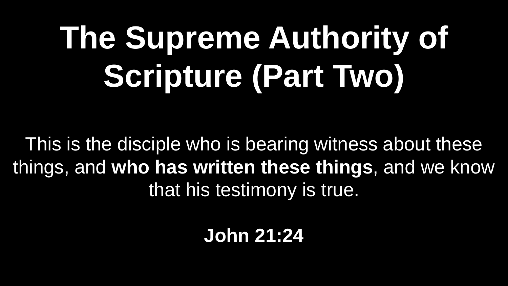This is the disciple who is bearing witness about these things, and **who has written these things**, and we know that his testimony is true.

**John 21:24**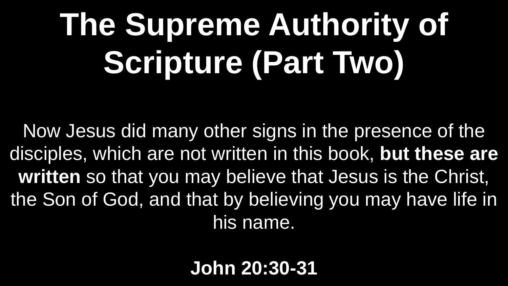Now Jesus did many other signs in the presence of the disciples, which are not written in this book, **but these are written** so that you may believe that Jesus is the Christ, the Son of God, and that by believing you may have life in his name.

**John 20:30-31**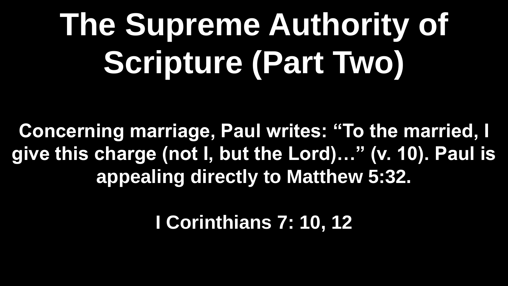**Concerning marriage, Paul writes: "To the married, I give this charge (not I, but the Lord)…" (v. 10). Paul is appealing directly to Matthew 5:32.** 

**I Corinthians 7: 10, 12**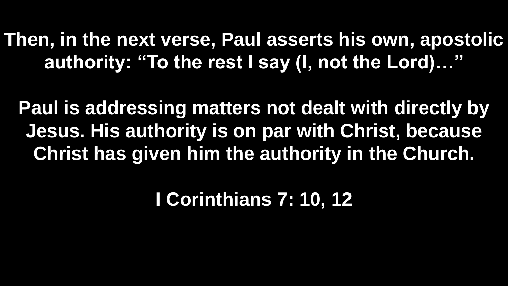**Then, in the next verse, Paul asserts his own, apostolic authority: "To the rest I say (I, not the Lord)…"** 

**Paul is addressing matters not dealt with directly by Jesus. His authority is on par with Christ, because Christ has given him the authority in the Church.**

**I Corinthians 7: 10, 12**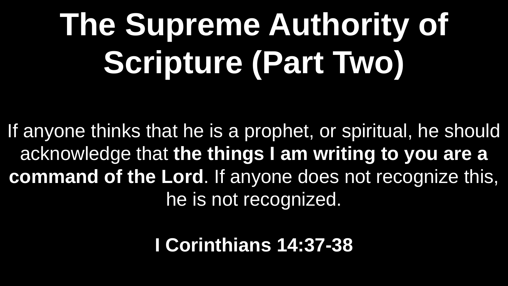If anyone thinks that he is a prophet, or spiritual, he should acknowledge that **the things I am writing to you are a command of the Lord**. If anyone does not recognize this, he is not recognized.

#### **I Corinthians 14:37-38**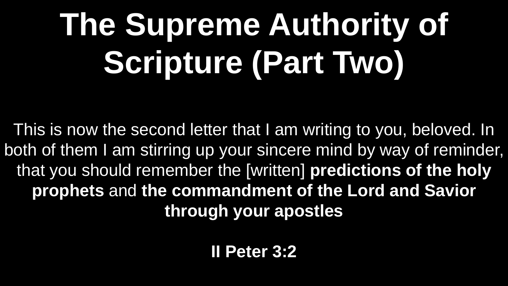This is now the second letter that I am writing to you, beloved. In both of them I am stirring up your sincere mind by way of reminder, that you should remember the [written] **predictions of the holy prophets** and **the commandment of the Lord and Savior through your apostles**

**II Peter 3:2**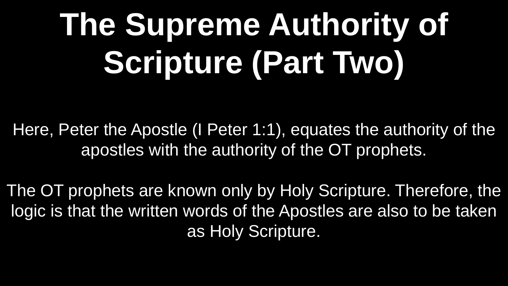Here, Peter the Apostle (I Peter 1:1), equates the authority of the apostles with the authority of the OT prophets.

The OT prophets are known only by Holy Scripture. Therefore, the logic is that the written words of the Apostles are also to be taken as Holy Scripture.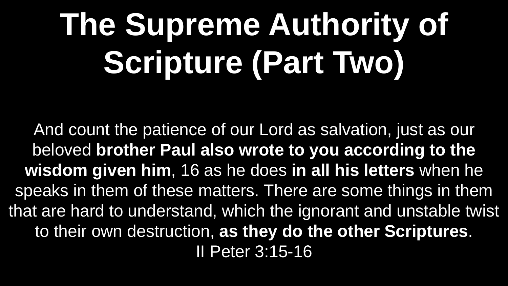And count the patience of our Lord as salvation, just as our beloved **brother Paul also wrote to you according to the wisdom given him**, 16 as he does **in all his letters** when he speaks in them of these matters. There are some things in them that are hard to understand, which the ignorant and unstable twist to their own destruction, **as they do the other Scriptures**. II Peter 3:15-16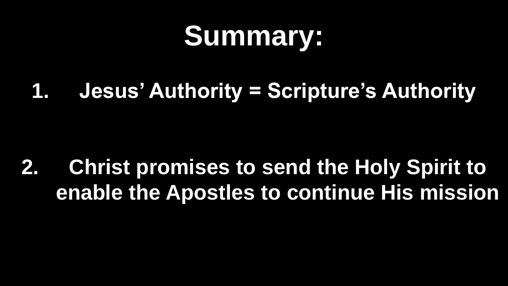#### **Summary:**

**1. Jesus' Authority = Scripture's Authority**

**2. Christ promises to send the Holy Spirit to enable the Apostles to continue His mission**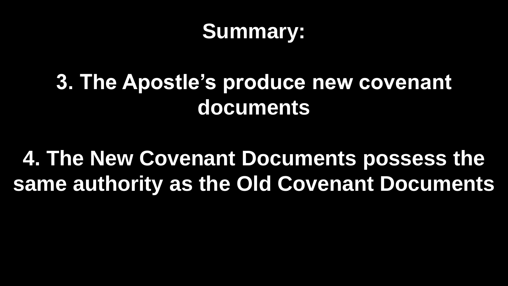#### **Summary:**

#### **3. The Apostle's produce new covenant documents**

#### **4. The New Covenant Documents possess the same authority as the Old Covenant Documents**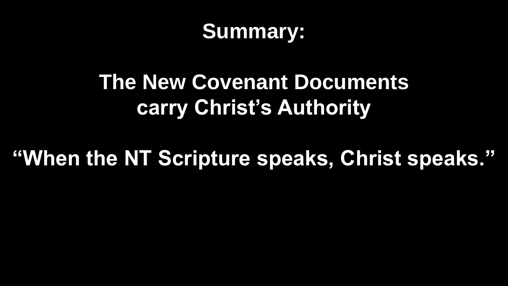#### **Summary:**

#### **The New Covenant Documents carry Christ's Authority**

#### **"When the NT Scripture speaks, Christ speaks."**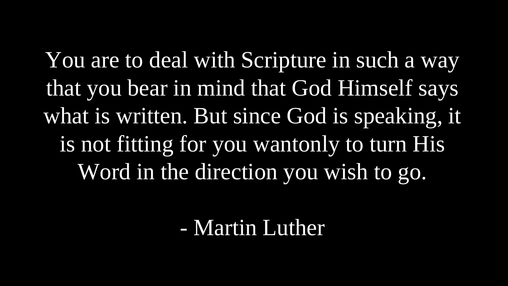You are to deal with Scripture in such a way that you bear in mind that God Himself says what is written. But since God is speaking, it is not fitting for you wantonly to turn His Word in the direction you wish to go.

#### - Martin Luther